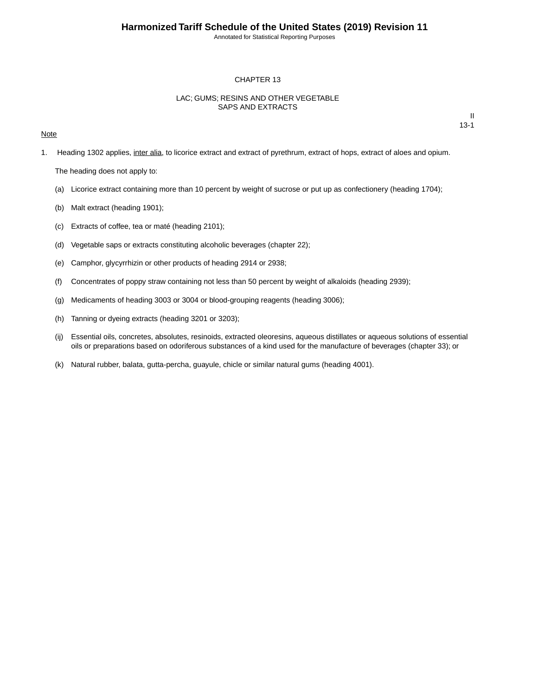Annotated for Statistical Reporting Purposes

#### CHAPTER 13

### LAC; GUMS; RESINS AND OTHER VEGETABLE SAPS AND EXTRACTS

#### **Note**

II 13-1

1. Heading 1302 applies, inter alia, to licorice extract and extract of pyrethrum, extract of hops, extract of aloes and opium.

The heading does not apply to:

- (a) Licorice extract containing more than 10 percent by weight of sucrose or put up as confectionery (heading 1704);
- (b) Malt extract (heading 1901);
- (c) Extracts of coffee, tea or maté (heading 2101);
- (d) Vegetable saps or extracts constituting alcoholic beverages (chapter 22);
- (e) Camphor, glycyrrhizin or other products of heading 2914 or 2938;
- (f) Concentrates of poppy straw containing not less than 50 percent by weight of alkaloids (heading 2939);
- (g) Medicaments of heading 3003 or 3004 or blood-grouping reagents (heading 3006);
- (h) Tanning or dyeing extracts (heading 3201 or 3203);
- (ij) Essential oils, concretes, absolutes, resinoids, extracted oleoresins, aqueous distillates or aqueous solutions of essential oils or preparations based on odoriferous substances of a kind used for the manufacture of beverages (chapter 33); or
- (k) Natural rubber, balata, gutta-percha, guayule, chicle or similar natural gums (heading 4001).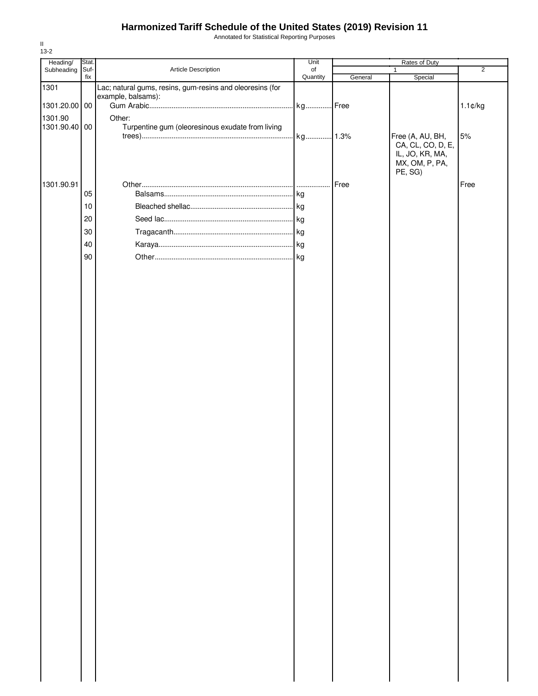## **Harmonized Tariff Schedule of the United States (2019) Revision 11**

Annotated for Statistical Reporting Purposes

| Heading/      | Stat.  |                                                           | Unit     | Rates of Duty |                   |                   |
|---------------|--------|-----------------------------------------------------------|----------|---------------|-------------------|-------------------|
| Subheading    | Suf-   | Article Description                                       | of       |               | $\mathbf{1}$      | $\overline{2}$    |
|               | fix    |                                                           | Quantity | General       | Special           |                   |
| 1301          |        | Lac; natural gums, resins, gum-resins and oleoresins (for |          |               |                   |                   |
|               |        | example, balsams):                                        |          |               |                   |                   |
| 1301.20.00 00 |        |                                                           | kg Free  |               |                   | $1.1 \text{C/kg}$ |
| 1301.90       |        | Other:                                                    |          |               |                   |                   |
| 1301.90.40 00 |        | Turpentine gum (oleoresinous exudate from living          |          |               |                   |                   |
|               |        |                                                           |          |               | Free (A, AU, BH,  | 5%                |
|               |        |                                                           |          |               | CA, CL, CO, D, E, |                   |
|               |        |                                                           |          |               | IL, JO, KR, MA,   |                   |
|               |        |                                                           |          |               | MX, OM, P, PA,    |                   |
|               |        |                                                           |          |               | PE, SG)           |                   |
| 1301.90.91    |        |                                                           |          | Free          |                   | Free              |
|               | 05     |                                                           |          |               |                   |                   |
|               |        |                                                           |          |               |                   |                   |
|               | $10$   |                                                           |          |               |                   |                   |
|               | 20     |                                                           |          |               |                   |                   |
|               | $30\,$ |                                                           |          |               |                   |                   |
|               |        |                                                           |          |               |                   |                   |
|               | 40     |                                                           |          |               |                   |                   |
|               | 90     |                                                           |          |               |                   |                   |
|               |        |                                                           |          |               |                   |                   |
|               |        |                                                           |          |               |                   |                   |
|               |        |                                                           |          |               |                   |                   |
|               |        |                                                           |          |               |                   |                   |
|               |        |                                                           |          |               |                   |                   |
|               |        |                                                           |          |               |                   |                   |
|               |        |                                                           |          |               |                   |                   |
|               |        |                                                           |          |               |                   |                   |
|               |        |                                                           |          |               |                   |                   |
|               |        |                                                           |          |               |                   |                   |
|               |        |                                                           |          |               |                   |                   |
|               |        |                                                           |          |               |                   |                   |
|               |        |                                                           |          |               |                   |                   |
|               |        |                                                           |          |               |                   |                   |
|               |        |                                                           |          |               |                   |                   |
|               |        |                                                           |          |               |                   |                   |
|               |        |                                                           |          |               |                   |                   |
|               |        |                                                           |          |               |                   |                   |
|               |        |                                                           |          |               |                   |                   |
|               |        |                                                           |          |               |                   |                   |
|               |        |                                                           |          |               |                   |                   |
|               |        |                                                           |          |               |                   |                   |
|               |        |                                                           |          |               |                   |                   |
|               |        |                                                           |          |               |                   |                   |
|               |        |                                                           |          |               |                   |                   |
|               |        |                                                           |          |               |                   |                   |
|               |        |                                                           |          |               |                   |                   |
|               |        |                                                           |          |               |                   |                   |
|               |        |                                                           |          |               |                   |                   |
|               |        |                                                           |          |               |                   |                   |
|               |        |                                                           |          |               |                   |                   |
|               |        |                                                           |          |               |                   |                   |
|               |        |                                                           |          |               |                   |                   |
|               |        |                                                           |          |               |                   |                   |
|               |        |                                                           |          |               |                   |                   |
|               |        |                                                           |          |               |                   |                   |
|               |        |                                                           |          |               |                   |                   |
|               |        |                                                           |          |               |                   |                   |
|               |        |                                                           |          |               |                   |                   |
|               |        |                                                           |          |               |                   |                   |
|               |        |                                                           |          |               |                   |                   |
|               |        |                                                           |          |               |                   |                   |
|               |        |                                                           |          |               |                   |                   |
|               |        |                                                           |          |               |                   |                   |
|               |        |                                                           |          |               |                   |                   |

II 13-2